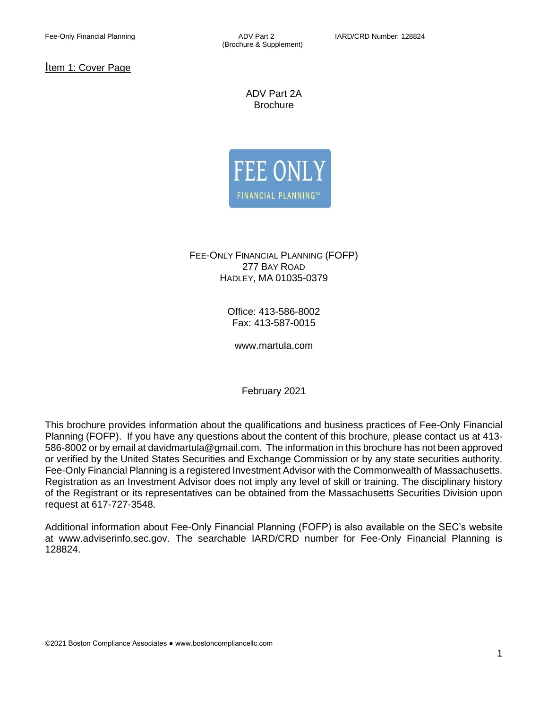Item 1: Cover Page

ADV Part 2A **Brochure** 



FEE-ONLY FINANCIAL PLANNING (FOFP) 277 BAY ROAD HADLEY, MA 01035-0379

> Office: 413-586-8002 Fax: 413-587-0015

www.martula.com

February 2021

This brochure provides information about the qualifications and business practices of Fee-Only Financial Planning (FOFP). If you have any questions about the content of this brochure, please contact us at 413- 586-8002 or by email at davidmartula@gmail.com. The information in this brochure has not been approved or verified by the United States Securities and Exchange Commission or by any state securities authority. Fee-Only Financial Planning is a registered Investment Advisor with the Commonwealth of Massachusetts. Registration as an Investment Advisor does not imply any level of skill or training. The disciplinary history of the Registrant or its representatives can be obtained from the Massachusetts Securities Division upon request at 617-727-3548.

Additional information about Fee-Only Financial Planning (FOFP) is also available on the SEC's website at www.adviserinfo.sec.gov. The searchable IARD/CRD number for Fee-Only Financial Planning is 128824.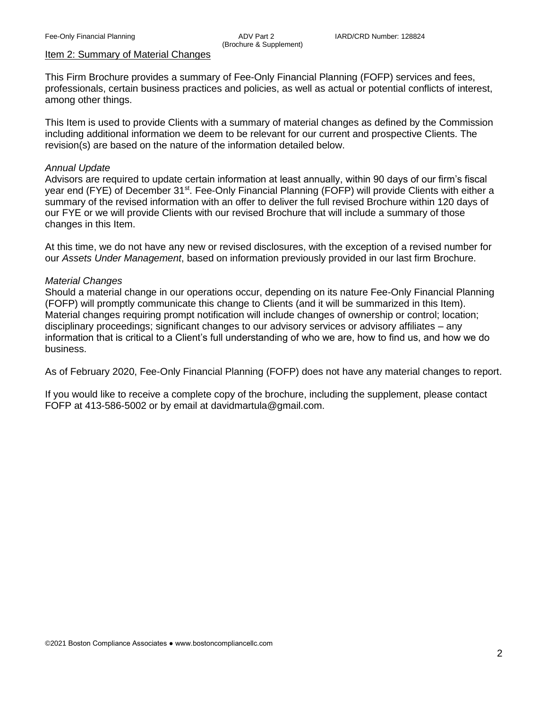# Item 2: Summary of Material Changes

This Firm Brochure provides a summary of Fee-Only Financial Planning (FOFP) services and fees, professionals, certain business practices and policies, as well as actual or potential conflicts of interest, among other things.

This Item is used to provide Clients with a summary of material changes as defined by the Commission including additional information we deem to be relevant for our current and prospective Clients. The revision(s) are based on the nature of the information detailed below.

#### *Annual Update*

Advisors are required to update certain information at least annually, within 90 days of our firm's fiscal year end (FYE) of December 31<sup>st</sup>. Fee-Only Financial Planning (FOFP) will provide Clients with either a summary of the revised information with an offer to deliver the full revised Brochure within 120 days of our FYE or we will provide Clients with our revised Brochure that will include a summary of those changes in this Item.

At this time, we do not have any new or revised disclosures, with the exception of a revised number for our *Assets Under Management*, based on information previously provided in our last firm Brochure.

#### *Material Changes*

Should a material change in our operations occur, depending on its nature Fee-Only Financial Planning (FOFP) will promptly communicate this change to Clients (and it will be summarized in this Item). Material changes requiring prompt notification will include changes of ownership or control; location; disciplinary proceedings; significant changes to our advisory services or advisory affiliates – any information that is critical to a Client's full understanding of who we are, how to find us, and how we do business.

As of February 2020, Fee-Only Financial Planning (FOFP) does not have any material changes to report.

If you would like to receive a complete copy of the brochure, including the supplement, please contact FOFP at 413-586-5002 or by email at davidmartula@gmail.com.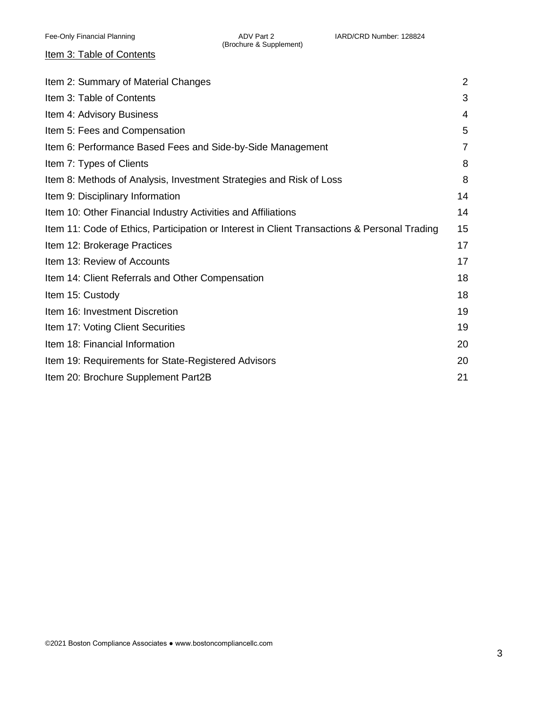# Item 3: Table of Contents

| Item 2: Summary of Material Changes                                                          | $\overline{2}$ |
|----------------------------------------------------------------------------------------------|----------------|
| Item 3: Table of Contents                                                                    | 3              |
| Item 4: Advisory Business                                                                    | 4              |
| Item 5: Fees and Compensation                                                                | 5              |
| Item 6: Performance Based Fees and Side-by-Side Management                                   | $\overline{7}$ |
| Item 7: Types of Clients                                                                     | 8              |
| Item 8: Methods of Analysis, Investment Strategies and Risk of Loss                          | 8              |
| Item 9: Disciplinary Information                                                             | 14             |
| Item 10: Other Financial Industry Activities and Affiliations                                | 14             |
| Item 11: Code of Ethics, Participation or Interest in Client Transactions & Personal Trading | 15             |
| Item 12: Brokerage Practices                                                                 | 17             |
| Item 13: Review of Accounts                                                                  | 17             |
| Item 14: Client Referrals and Other Compensation                                             | 18             |
| Item 15: Custody                                                                             | 18             |
| Item 16: Investment Discretion                                                               | 19             |
| Item 17: Voting Client Securities                                                            | 19             |
| Item 18: Financial Information                                                               | 20             |
| Item 19: Requirements for State-Registered Advisors                                          | 20             |
| Item 20: Brochure Supplement Part2B                                                          | 21             |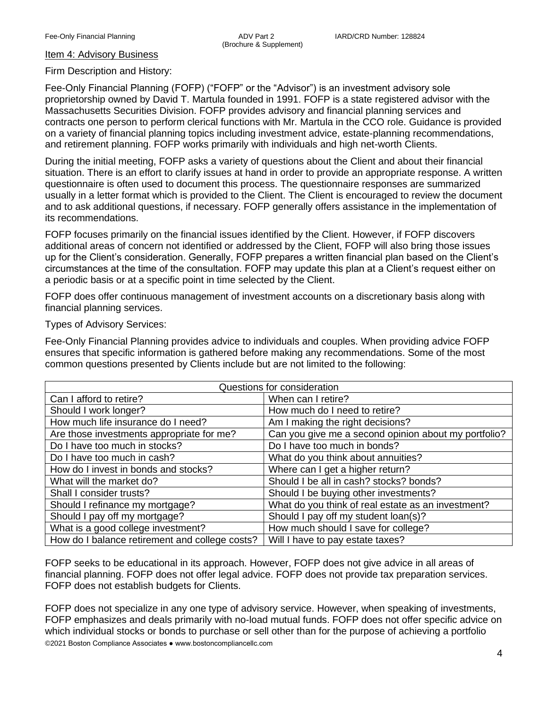#### Item 4: Advisory Business

#### Firm Description and History:

Fee-Only Financial Planning (FOFP) ("FOFP" or the "Advisor") is an investment advisory sole proprietorship owned by David T. Martula founded in 1991. FOFP is a state registered advisor with the Massachusetts Securities Division. FOFP provides advisory and financial planning services and contracts one person to perform clerical functions with Mr. Martula in the CCO role. Guidance is provided on a variety of financial planning topics including investment advice, estate-planning recommendations, and retirement planning. FOFP works primarily with individuals and high net-worth Clients.

During the initial meeting, FOFP asks a variety of questions about the Client and about their financial situation. There is an effort to clarify issues at hand in order to provide an appropriate response. A written questionnaire is often used to document this process. The questionnaire responses are summarized usually in a letter format which is provided to the Client. The Client is encouraged to review the document and to ask additional questions, if necessary. FOFP generally offers assistance in the implementation of its recommendations.

FOFP focuses primarily on the financial issues identified by the Client. However, if FOFP discovers additional areas of concern not identified or addressed by the Client, FOFP will also bring those issues up for the Client's consideration. Generally, FOFP prepares a written financial plan based on the Client's circumstances at the time of the consultation. FOFP may update this plan at a Client's request either on a periodic basis or at a specific point in time selected by the Client.

FOFP does offer continuous management of investment accounts on a discretionary basis along with financial planning services.

#### Types of Advisory Services:

Fee-Only Financial Planning provides advice to individuals and couples. When providing advice FOFP ensures that specific information is gathered before making any recommendations. Some of the most common questions presented by Clients include but are not limited to the following:

| Questions for consideration                    |                                                      |
|------------------------------------------------|------------------------------------------------------|
| Can I afford to retire?                        | When can I retire?                                   |
| Should I work longer?                          | How much do I need to retire?                        |
| How much life insurance do I need?             | Am I making the right decisions?                     |
| Are those investments appropriate for me?      | Can you give me a second opinion about my portfolio? |
| Do I have too much in stocks?                  | Do I have too much in bonds?                         |
| Do I have too much in cash?                    | What do you think about annuities?                   |
| How do I invest in bonds and stocks?           | Where can I get a higher return?                     |
| What will the market do?                       | Should I be all in cash? stocks? bonds?              |
| Shall I consider trusts?                       | Should I be buying other investments?                |
| Should I refinance my mortgage?                | What do you think of real estate as an investment?   |
| Should I pay off my mortgage?                  | Should I pay off my student loan(s)?                 |
| What is a good college investment?             | How much should I save for college?                  |
| How do I balance retirement and college costs? | Will I have to pay estate taxes?                     |

FOFP seeks to be educational in its approach. However, FOFP does not give advice in all areas of financial planning. FOFP does not offer legal advice. FOFP does not provide tax preparation services. FOFP does not establish budgets for Clients.

©2021 Boston Compliance Associates ● www.bostoncompliancellc.com FOFP does not specialize in any one type of advisory service. However, when speaking of investments, FOFP emphasizes and deals primarily with no-load mutual funds. FOFP does not offer specific advice on which individual stocks or bonds to purchase or sell other than for the purpose of achieving a portfolio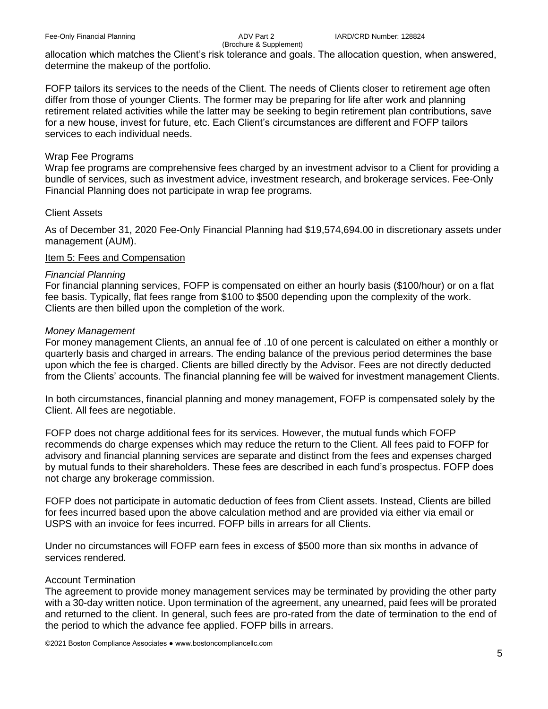allocation which matches the Client's risk tolerance and goals. The allocation question, when answered, determine the makeup of the portfolio.

FOFP tailors its services to the needs of the Client. The needs of Clients closer to retirement age often differ from those of younger Clients. The former may be preparing for life after work and planning retirement related activities while the latter may be seeking to begin retirement plan contributions, save for a new house, invest for future, etc. Each Client's circumstances are different and FOFP tailors services to each individual needs.

# Wrap Fee Programs

Wrap fee programs are comprehensive fees charged by an investment advisor to a Client for providing a bundle of services, such as investment advice, investment research, and brokerage services. Fee-Only Financial Planning does not participate in wrap fee programs.

## Client Assets

As of December 31, 2020 Fee-Only Financial Planning had \$19,574,694.00 in discretionary assets under management (AUM).

# Item 5: Fees and Compensation

## *Financial Planning*

For financial planning services, FOFP is compensated on either an hourly basis (\$100/hour) or on a flat fee basis. Typically, flat fees range from \$100 to \$500 depending upon the complexity of the work. Clients are then billed upon the completion of the work.

## *Money Management*

For money management Clients, an annual fee of .10 of one percent is calculated on either a monthly or quarterly basis and charged in arrears. The ending balance of the previous period determines the base upon which the fee is charged. Clients are billed directly by the Advisor. Fees are not directly deducted from the Clients' accounts. The financial planning fee will be waived for investment management Clients.

In both circumstances, financial planning and money management, FOFP is compensated solely by the Client. All fees are negotiable.

FOFP does not charge additional fees for its services. However, the mutual funds which FOFP recommends do charge expenses which may reduce the return to the Client. All fees paid to FOFP for advisory and financial planning services are separate and distinct from the fees and expenses charged by mutual funds to their shareholders. These fees are described in each fund's prospectus. FOFP does not charge any brokerage commission.

FOFP does not participate in automatic deduction of fees from Client assets. Instead, Clients are billed for fees incurred based upon the above calculation method and are provided via either via email or USPS with an invoice for fees incurred. FOFP bills in arrears for all Clients.

Under no circumstances will FOFP earn fees in excess of \$500 more than six months in advance of services rendered.

# Account Termination

The agreement to provide money management services may be terminated by providing the other party with a 30-day written notice. Upon termination of the agreement, any unearned, paid fees will be prorated and returned to the client. In general, such fees are pro-rated from the date of termination to the end of the period to which the advance fee applied. FOFP bills in arrears.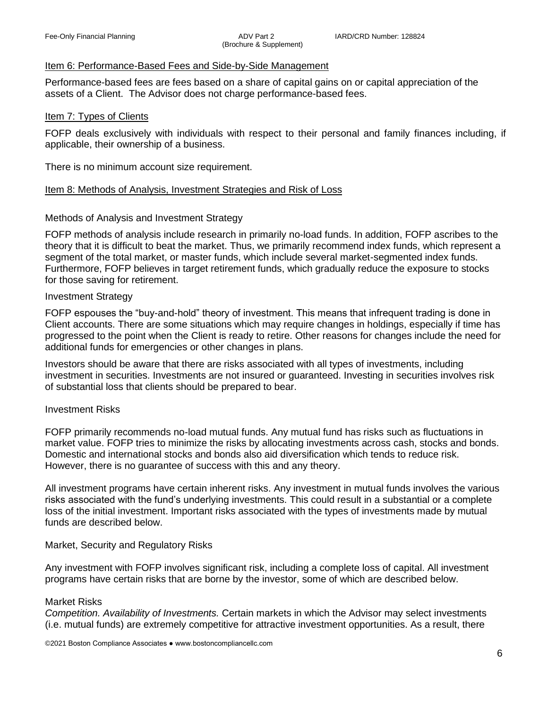## Item 6: Performance-Based Fees and Side-by-Side Management

Performance-based fees are fees based on a share of capital gains on or capital appreciation of the assets of a Client. The Advisor does not charge performance-based fees.

#### Item 7: Types of Clients

FOFP deals exclusively with individuals with respect to their personal and family finances including, if applicable, their ownership of a business.

There is no minimum account size requirement.

## Item 8: Methods of Analysis, Investment Strategies and Risk of Loss

## Methods of Analysis and Investment Strategy

FOFP methods of analysis include research in primarily no-load funds. In addition, FOFP ascribes to the theory that it is difficult to beat the market. Thus, we primarily recommend index funds, which represent a segment of the total market, or master funds, which include several market-segmented index funds. Furthermore, FOFP believes in target retirement funds, which gradually reduce the exposure to stocks for those saving for retirement.

#### Investment Strategy

FOFP espouses the "buy-and-hold" theory of investment. This means that infrequent trading is done in Client accounts. There are some situations which may require changes in holdings, especially if time has progressed to the point when the Client is ready to retire. Other reasons for changes include the need for additional funds for emergencies or other changes in plans.

Investors should be aware that there are risks associated with all types of investments, including investment in securities. Investments are not insured or guaranteed. Investing in securities involves risk of substantial loss that clients should be prepared to bear.

#### Investment Risks

FOFP primarily recommends no-load mutual funds. Any mutual fund has risks such as fluctuations in market value. FOFP tries to minimize the risks by allocating investments across cash, stocks and bonds. Domestic and international stocks and bonds also aid diversification which tends to reduce risk. However, there is no guarantee of success with this and any theory.

All investment programs have certain inherent risks. Any investment in mutual funds involves the various risks associated with the fund's underlying investments. This could result in a substantial or a complete loss of the initial investment. Important risks associated with the types of investments made by mutual funds are described below.

Market, Security and Regulatory Risks

Any investment with FOFP involves significant risk, including a complete loss of capital. All investment programs have certain risks that are borne by the investor, some of which are described below.

# Market Risks

*Competition. Availability of Investments.* Certain markets in which the Advisor may select investments (i.e. mutual funds) are extremely competitive for attractive investment opportunities. As a result, there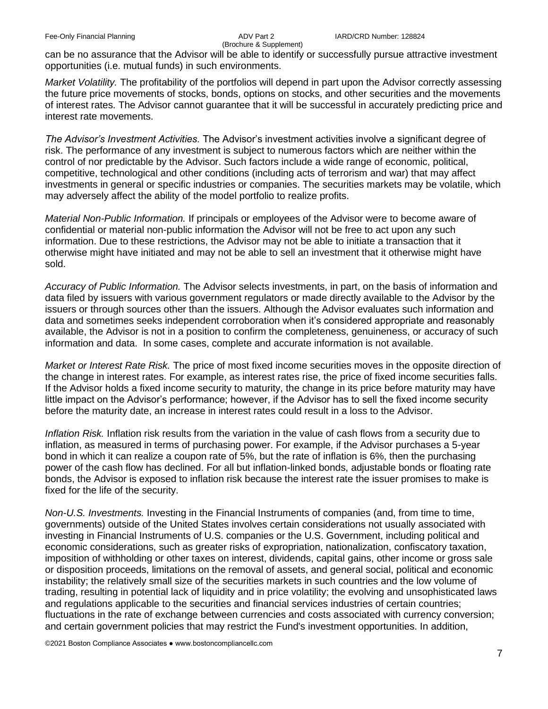can be no assurance that the Advisor will be able to identify or successfully pursue attractive investment opportunities (i.e. mutual funds) in such environments.

*Market Volatility.* The profitability of the portfolios will depend in part upon the Advisor correctly assessing the future price movements of stocks, bonds, options on stocks, and other securities and the movements of interest rates. The Advisor cannot guarantee that it will be successful in accurately predicting price and interest rate movements.

*The Advisor's Investment Activities.* The Advisor's investment activities involve a significant degree of risk. The performance of any investment is subject to numerous factors which are neither within the control of nor predictable by the Advisor. Such factors include a wide range of economic, political, competitive, technological and other conditions (including acts of terrorism and war) that may affect investments in general or specific industries or companies. The securities markets may be volatile, which may adversely affect the ability of the model portfolio to realize profits.

*Material Non-Public Information.* If principals or employees of the Advisor were to become aware of confidential or material non-public information the Advisor will not be free to act upon any such information. Due to these restrictions, the Advisor may not be able to initiate a transaction that it otherwise might have initiated and may not be able to sell an investment that it otherwise might have sold.

*Accuracy of Public Information.* The Advisor selects investments, in part, on the basis of information and data filed by issuers with various government regulators or made directly available to the Advisor by the issuers or through sources other than the issuers. Although the Advisor evaluates such information and data and sometimes seeks independent corroboration when it's considered appropriate and reasonably available, the Advisor is not in a position to confirm the completeness, genuineness, or accuracy of such information and data. In some cases, complete and accurate information is not available.

*Market or Interest Rate Risk.* The price of most fixed income securities moves in the opposite direction of the change in interest rates. For example, as interest rates rise, the price of fixed income securities falls. If the Advisor holds a fixed income security to maturity, the change in its price before maturity may have little impact on the Advisor's performance; however, if the Advisor has to sell the fixed income security before the maturity date, an increase in interest rates could result in a loss to the Advisor.

*Inflation Risk.* Inflation risk results from the variation in the value of cash flows from a security due to inflation, as measured in terms of purchasing power. For example, if the Advisor purchases a 5-year bond in which it can realize a coupon rate of 5%, but the rate of inflation is 6%, then the purchasing power of the cash flow has declined. For all but inflation-linked bonds, adjustable bonds or floating rate bonds, the Advisor is exposed to inflation risk because the interest rate the issuer promises to make is fixed for the life of the security.

*Non-U.S. Investments.* Investing in the Financial Instruments of companies (and, from time to time, governments) outside of the United States involves certain considerations not usually associated with investing in Financial Instruments of U.S. companies or the U.S. Government, including political and economic considerations, such as greater risks of expropriation, nationalization, confiscatory taxation, imposition of withholding or other taxes on interest, dividends, capital gains, other income or gross sale or disposition proceeds, limitations on the removal of assets, and general social, political and economic instability; the relatively small size of the securities markets in such countries and the low volume of trading, resulting in potential lack of liquidity and in price volatility; the evolving and unsophisticated laws and regulations applicable to the securities and financial services industries of certain countries; fluctuations in the rate of exchange between currencies and costs associated with currency conversion; and certain government policies that may restrict the Fund's investment opportunities. In addition,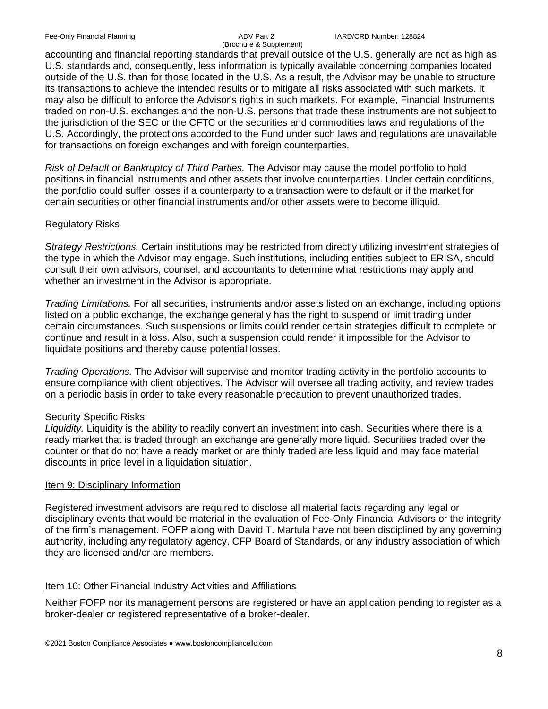# (Brochure & Supplement)

accounting and financial reporting standards that prevail outside of the U.S. generally are not as high as U.S. standards and, consequently, less information is typically available concerning companies located outside of the U.S. than for those located in the U.S. As a result, the Advisor may be unable to structure its transactions to achieve the intended results or to mitigate all risks associated with such markets. It may also be difficult to enforce the Advisor's rights in such markets. For example, Financial Instruments traded on non-U.S. exchanges and the non-U.S. persons that trade these instruments are not subject to the jurisdiction of the SEC or the CFTC or the securities and commodities laws and regulations of the U.S. Accordingly, the protections accorded to the Fund under such laws and regulations are unavailable for transactions on foreign exchanges and with foreign counterparties.

*Risk of Default or Bankruptcy of Third Parties.* The Advisor may cause the model portfolio to hold positions in financial instruments and other assets that involve counterparties. Under certain conditions, the portfolio could suffer losses if a counterparty to a transaction were to default or if the market for certain securities or other financial instruments and/or other assets were to become illiquid.

# Regulatory Risks

*Strategy Restrictions.* Certain institutions may be restricted from directly utilizing investment strategies of the type in which the Advisor may engage. Such institutions, including entities subject to ERISA, should consult their own advisors, counsel, and accountants to determine what restrictions may apply and whether an investment in the Advisor is appropriate.

*Trading Limitations.* For all securities, instruments and/or assets listed on an exchange, including options listed on a public exchange, the exchange generally has the right to suspend or limit trading under certain circumstances. Such suspensions or limits could render certain strategies difficult to complete or continue and result in a loss. Also, such a suspension could render it impossible for the Advisor to liquidate positions and thereby cause potential losses.

*Trading Operations.* The Advisor will supervise and monitor trading activity in the portfolio accounts to ensure compliance with client objectives. The Advisor will oversee all trading activity, and review trades on a periodic basis in order to take every reasonable precaution to prevent unauthorized trades.

# Security Specific Risks

*Liquidity.* Liquidity is the ability to readily convert an investment into cash. Securities where there is a ready market that is traded through an exchange are generally more liquid. Securities traded over the counter or that do not have a ready market or are thinly traded are less liquid and may face material discounts in price level in a liquidation situation.

# Item 9: Disciplinary Information

Registered investment advisors are required to disclose all material facts regarding any legal or disciplinary events that would be material in the evaluation of Fee-Only Financial Advisors or the integrity of the firm's management. FOFP along with David T. Martula have not been disciplined by any governing authority, including any regulatory agency, CFP Board of Standards, or any industry association of which they are licensed and/or are members.

# Item 10: Other Financial Industry Activities and Affiliations

Neither FOFP nor its management persons are registered or have an application pending to register as a broker-dealer or registered representative of a broker-dealer.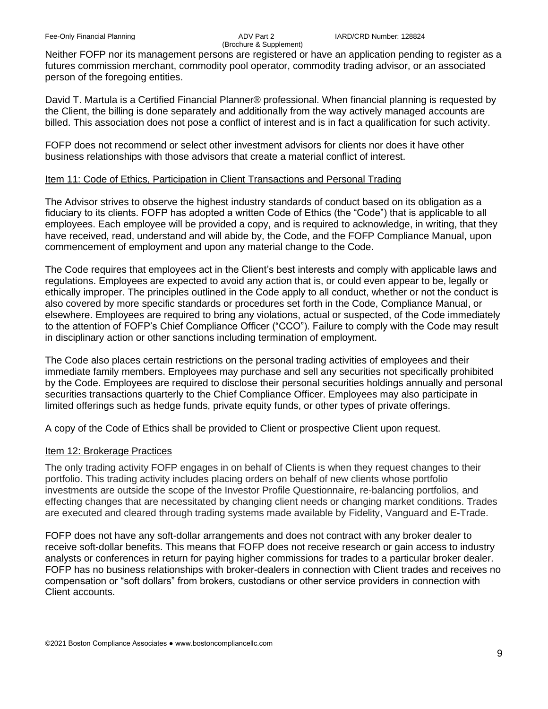Neither FOFP nor its management persons are registered or have an application pending to register as a futures commission merchant, commodity pool operator, commodity trading advisor, or an associated person of the foregoing entities.

David T. Martula is a Certified Financial Planner® professional. When financial planning is requested by the Client, the billing is done separately and additionally from the way actively managed accounts are billed. This association does not pose a conflict of interest and is in fact a qualification for such activity.

FOFP does not recommend or select other investment advisors for clients nor does it have other business relationships with those advisors that create a material conflict of interest.

## Item 11: Code of Ethics, Participation in Client Transactions and Personal Trading

The Advisor strives to observe the highest industry standards of conduct based on its obligation as a fiduciary to its clients. FOFP has adopted a written Code of Ethics (the "Code") that is applicable to all employees. Each employee will be provided a copy, and is required to acknowledge, in writing, that they have received, read, understand and will abide by, the Code, and the FOFP Compliance Manual, upon commencement of employment and upon any material change to the Code.

The Code requires that employees act in the Client's best interests and comply with applicable laws and regulations. Employees are expected to avoid any action that is, or could even appear to be, legally or ethically improper. The principles outlined in the Code apply to all conduct, whether or not the conduct is also covered by more specific standards or procedures set forth in the Code, Compliance Manual, or elsewhere. Employees are required to bring any violations, actual or suspected, of the Code immediately to the attention of FOFP's Chief Compliance Officer ("CCO"). Failure to comply with the Code may result in disciplinary action or other sanctions including termination of employment.

The Code also places certain restrictions on the personal trading activities of employees and their immediate family members. Employees may purchase and sell any securities not specifically prohibited by the Code. Employees are required to disclose their personal securities holdings annually and personal securities transactions quarterly to the Chief Compliance Officer. Employees may also participate in limited offerings such as hedge funds, private equity funds, or other types of private offerings.

A copy of the Code of Ethics shall be provided to Client or prospective Client upon request.

# Item 12: Brokerage Practices

The only trading activity FOFP engages in on behalf of Clients is when they request changes to their portfolio. This trading activity includes placing orders on behalf of new clients whose portfolio investments are outside the scope of the Investor Profile Questionnaire, re-balancing portfolios, and effecting changes that are necessitated by changing client needs or changing market conditions. Trades are executed and cleared through trading systems made available by Fidelity, Vanguard and E-Trade.

FOFP does not have any soft-dollar arrangements and does not contract with any broker dealer to receive soft-dollar benefits. This means that FOFP does not receive research or gain access to industry analysts or conferences in return for paying higher commissions for trades to a particular broker dealer. FOFP has no business relationships with broker-dealers in connection with Client trades and receives no compensation or "soft dollars" from brokers, custodians or other service providers in connection with Client accounts.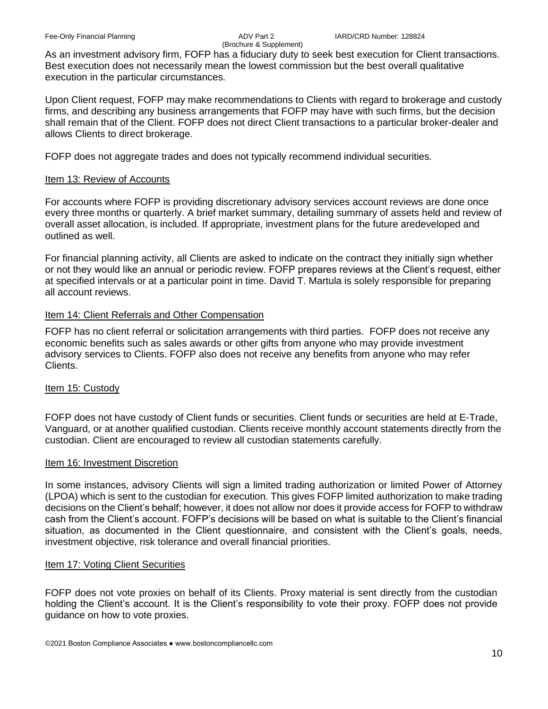As an investment advisory firm, FOFP has a fiduciary duty to seek best execution for Client transactions. Best execution does not necessarily mean the lowest commission but the best overall qualitative execution in the particular circumstances.

Upon Client request, FOFP may make recommendations to Clients with regard to brokerage and custody firms, and describing any business arrangements that FOFP may have with such firms, but the decision shall remain that of the Client. FOFP does not direct Client transactions to a particular broker-dealer and allows Clients to direct brokerage.

FOFP does not aggregate trades and does not typically recommend individual securities.

# Item 13: Review of Accounts

For accounts where FOFP is providing discretionary advisory services account reviews are done once every three months or quarterly. A brief market summary, detailing summary of assets held and review of overall asset allocation, is included. If appropriate, investment plans for the future aredeveloped and outlined as well.

For financial planning activity, all Clients are asked to indicate on the contract they initially sign whether or not they would like an annual or periodic review. FOFP prepares reviews at the Client's request, either at specified intervals or at a particular point in time. David T. Martula is solely responsible for preparing all account reviews.

# Item 14: Client Referrals and Other Compensation

FOFP has no client referral or solicitation arrangements with third parties. FOFP does not receive any economic benefits such as sales awards or other gifts from anyone who may provide investment advisory services to Clients. FOFP also does not receive any benefits from anyone who may refer Clients.

# Item 15: Custody

FOFP does not have custody of Client funds or securities. Client funds or securities are held at E-Trade, Vanguard, or at another qualified custodian. Clients receive monthly account statements directly from the custodian. Client are encouraged to review all custodian statements carefully.

# Item 16: Investment Discretion

In some instances, advisory Clients will sign a limited trading authorization or limited Power of Attorney (LPOA) which is sent to the custodian for execution. This gives FOFP limited authorization to make trading decisions on the Client's behalf; however, it does not allow nor does it provide access for FOFP to withdraw cash from the Client's account. FOFP's decisions will be based on what is suitable to the Client's financial situation, as documented in the Client questionnaire, and consistent with the Client's goals, needs, investment objective, risk tolerance and overall financial priorities.

# Item 17: Voting Client Securities

FOFP does not vote proxies on behalf of its Clients. Proxy material is sent directly from the custodian holding the Client's account. It is the Client's responsibility to vote their proxy. FOFP does not provide guidance on how to vote proxies.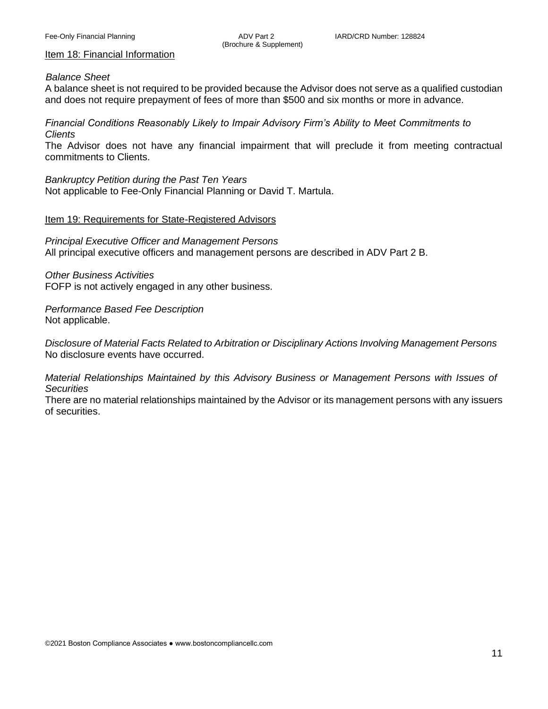#### Item 18: Financial Information

#### *Balance Sheet*

A balance sheet is not required to be provided because the Advisor does not serve as a qualified custodian and does not require prepayment of fees of more than \$500 and six months or more in advance.

*Financial Conditions Reasonably Likely to Impair Advisory Firm's Ability to Meet Commitments to Clients*

The Advisor does not have any financial impairment that will preclude it from meeting contractual commitments to Clients.

*Bankruptcy Petition during the Past Ten Years* Not applicable to Fee-Only Financial Planning or David T. Martula.

#### Item 19: Requirements for State-Registered Advisors

*Principal Executive Officer and Management Persons* All principal executive officers and management persons are described in ADV Part 2 B.

*Other Business Activities* FOFP is not actively engaged in any other business.

*Performance Based Fee Description* Not applicable.

*Disclosure of Material Facts Related to Arbitration or Disciplinary Actions Involving Management Persons* No disclosure events have occurred.

*Material Relationships Maintained by this Advisory Business or Management Persons with Issues of Securities*

There are no material relationships maintained by the Advisor or its management persons with any issuers of securities.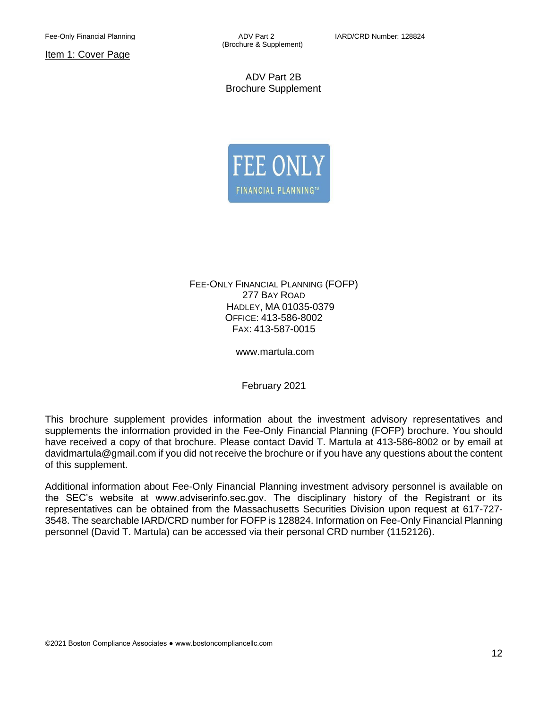Item 1: Cover Page

(Brochure & Supplement)

ADV Part 2B Brochure Supplement



FEE-ONLY FINANCIAL PLANNING (FOFP) 277 BAY ROAD HADLEY, MA 01035-0379 OFFICE: 413-586-8002 FAX: 413-587-0015

www.martula.com

February 2021

This brochure supplement provides information about the investment advisory representatives and supplements the information provided in the Fee-Only Financial Planning (FOFP) brochure. You should have received a copy of that brochure. Please contact David T. Martula at 413-586-8002 or by email at davidmartula@gmail.com if you did not receive the brochure or if you have any questions about the content of this supplement.

Additional information about Fee-Only Financial Planning investment advisory personnel is available on the SEC's website at www.adviserinfo.sec.gov. The disciplinary history of the Registrant or its representatives can be obtained from the Massachusetts Securities Division upon request at 617-727- 3548. The searchable IARD/CRD number for FOFP is 128824. Information on Fee-Only Financial Planning personnel (David T. Martula) can be accessed via their personal CRD number (1152126).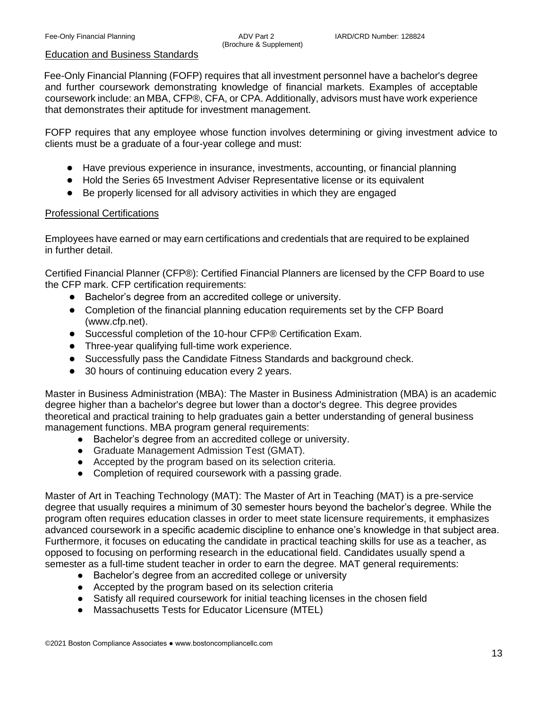#### Education and Business Standards

Fee-Only Financial Planning (FOFP) requires that all investment personnel have a bachelor's degree and further coursework demonstrating knowledge of financial markets. Examples of acceptable coursework include: an MBA, CFP®, CFA, or CPA. Additionally, advisors must have work experience that demonstrates their aptitude for investment management.

FOFP requires that any employee whose function involves determining or giving investment advice to clients must be a graduate of a four-year college and must:

- Have previous experience in insurance, investments, accounting, or financial planning
- Hold the Series 65 Investment Adviser Representative license or its equivalent
- Be properly licensed for all advisory activities in which they are engaged

#### Professional Certifications

Employees have earned or may earn certifications and credentials that are required to be explained in further detail.

Certified Financial Planner (CFP®): Certified Financial Planners are licensed by the CFP Board to use the CFP mark. CFP certification requirements:

- Bachelor's degree from an accredited college or university.
- Completion of the financial planning education requirements set by the CFP Board (www.cfp.net).
- Successful completion of the 10-hour CFP® Certification Exam.
- Three-year qualifying full-time work experience.
- Successfully pass the Candidate Fitness Standards and background check.
- 30 hours of continuing education every 2 years.

Master in Business Administration (MBA): The Master in Business Administration (MBA) is an academic degree higher than a bachelor's degree but lower than a doctor's degree. This degree provides theoretical and practical training to help graduates gain a better understanding of general business management functions. MBA program general requirements:

- Bachelor's degree from an accredited college or university.
- Graduate Management Admission Test (GMAT).
- Accepted by the program based on its selection criteria.
- Completion of required coursework with a passing grade.

Master of Art in Teaching Technology (MAT): The Master of Art in Teaching (MAT) is a pre-service degree that usually requires a minimum of 30 semester hours beyond the bachelor's degree. While the program often requires education classes in order to meet state licensure requirements, it emphasizes advanced coursework in a specific academic discipline to enhance one's knowledge in that subject area. Furthermore, it focuses on educating the candidate in practical teaching skills for use as a teacher, as opposed to focusing on performing research in the educational field. Candidates usually spend a semester as a full-time student teacher in order to earn the degree. MAT general requirements:

- Bachelor's degree from an accredited college or university
- Accepted by the program based on its selection criteria
- Satisfy all required coursework for initial teaching licenses in the chosen field
- Massachusetts Tests for Educator Licensure (MTEL)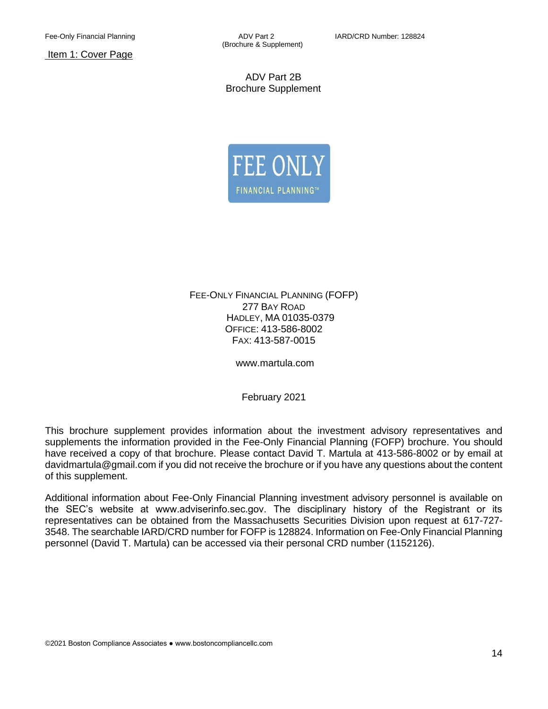Item 1: Cover Page

(Brochure & Supplement)

ADV Part 2B Brochure Supplement



FEE-ONLY FINANCIAL PLANNING (FOFP) 277 BAY ROAD HADLEY, MA 01035-0379 OFFICE: 413-586-8002 FAX: 413-587-0015

www.martula.com

February 2021

This brochure supplement provides information about the investment advisory representatives and supplements the information provided in the Fee-Only Financial Planning (FOFP) brochure. You should have received a copy of that brochure. Please contact David T. Martula at 413-586-8002 or by email at davidmartula@gmail.com if you did not receive the brochure or if you have any questions about the content of this supplement.

Additional information about Fee-Only Financial Planning investment advisory personnel is available on the SEC's website at www.adviserinfo.sec.gov. The disciplinary history of the Registrant or its representatives can be obtained from the Massachusetts Securities Division upon request at 617-727- 3548. The searchable IARD/CRD number for FOFP is 128824. Information on Fee-Only Financial Planning personnel (David T. Martula) can be accessed via their personal CRD number (1152126).